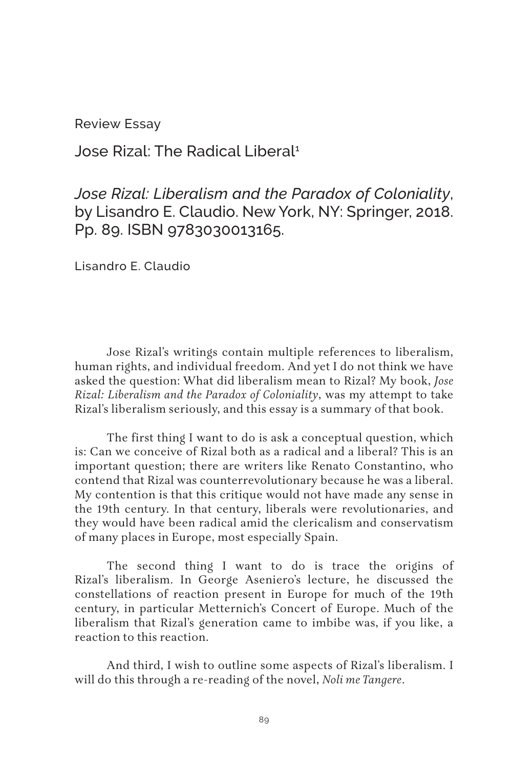Review Essay

Jose Rizal: The Radical Liberal1

*Jose Rizal: Liberalism and the Paradox of Coloniality*, by Lisandro E. Claudio. New York, NY: Springer, 2018. Pp. 89. ISBN 9783030013165.

Lisandro E. Claudio

Jose Rizal's writings contain multiple references to liberalism, human rights, and individual freedom. And yet I do not think we have asked the question: What did liberalism mean to Rizal? My book, *Jose Rizal: Liberalism and the Paradox of Coloniality*, was my attempt to take Rizal's liberalism seriously, and this essay is a summary of that book.

The first thing I want to do is ask a conceptual question, which is: Can we conceive of Rizal both as a radical and a liberal? This is an important question; there are writers like Renato Constantino, who contend that Rizal was counterrevolutionary because he was a liberal. My contention is that this critique would not have made any sense in the 19th century. In that century, liberals were revolutionaries, and they would have been radical amid the clericalism and conservatism of many places in Europe, most especially Spain.

The second thing I want to do is trace the origins of Rizal's liberalism. In George Aseniero's lecture, he discussed the constellations of reaction present in Europe for much of the 19th century, in particular Metternich's Concert of Europe. Much of the liberalism that Rizal's generation came to imbibe was, if you like, a reaction to this reaction.

And third, I wish to outline some aspects of Rizal's liberalism. I will do this through a re-reading of the novel, *Noli me Tangere*.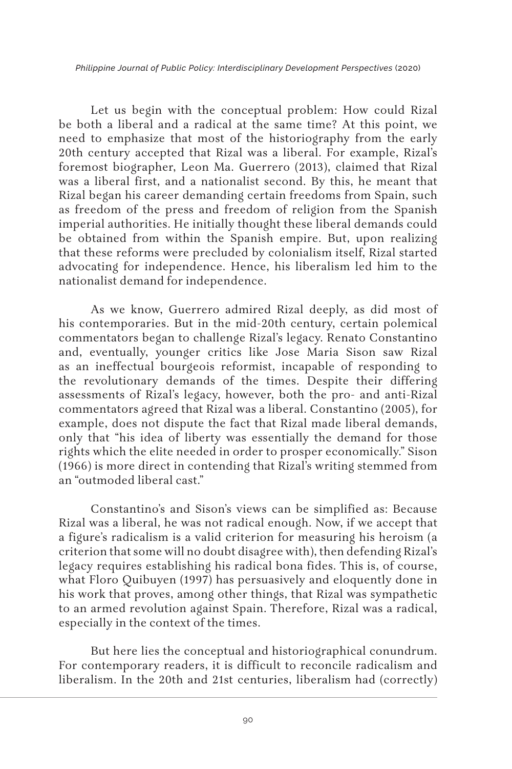*Philippine Journal of Public Policy: Interdisciplinary Development Perspectives* (2020)

Let us begin with the conceptual problem: How could Rizal be both a liberal and a radical at the same time? At this point, we need to emphasize that most of the historiography from the early 20th century accepted that Rizal was a liberal. For example, Rizal's foremost biographer, Leon Ma. Guerrero (2013), claimed that Rizal was a liberal first, and a nationalist second. By this, he meant that Rizal began his career demanding certain freedoms from Spain, such as freedom of the press and freedom of religion from the Spanish imperial authorities. He initially thought these liberal demands could be obtained from within the Spanish empire. But, upon realizing that these reforms were precluded by colonialism itself, Rizal started advocating for independence. Hence, his liberalism led him to the nationalist demand for independence.

As we know, Guerrero admired Rizal deeply, as did most of his contemporaries. But in the mid-20th century, certain polemical commentators began to challenge Rizal's legacy. Renato Constantino and, eventually, younger critics like Jose Maria Sison saw Rizal as an ineffectual bourgeois reformist, incapable of responding to the revolutionary demands of the times. Despite their differing assessments of Rizal's legacy, however, both the pro- and anti-Rizal commentators agreed that Rizal was a liberal. Constantino (2005), for example, does not dispute the fact that Rizal made liberal demands, only that "his idea of liberty was essentially the demand for those rights which the elite needed in order to prosper economically." Sison (1966) is more direct in contending that Rizal's writing stemmed from an "outmoded liberal cast."

Constantino's and Sison's views can be simplified as: Because Rizal was a liberal, he was not radical enough. Now, if we accept that a figure's radicalism is a valid criterion for measuring his heroism (a criterion that some will no doubt disagree with), then defending Rizal's legacy requires establishing his radical bona fides. This is, of course, what Floro Quibuyen (1997) has persuasively and eloquently done in his work that proves, among other things, that Rizal was sympathetic to an armed revolution against Spain. Therefore, Rizal was a radical, especially in the context of the times.

But here lies the conceptual and historiographical conundrum. For contemporary readers, it is difficult to reconcile radicalism and liberalism. In the 20th and 21st centuries, liberalism had (correctly)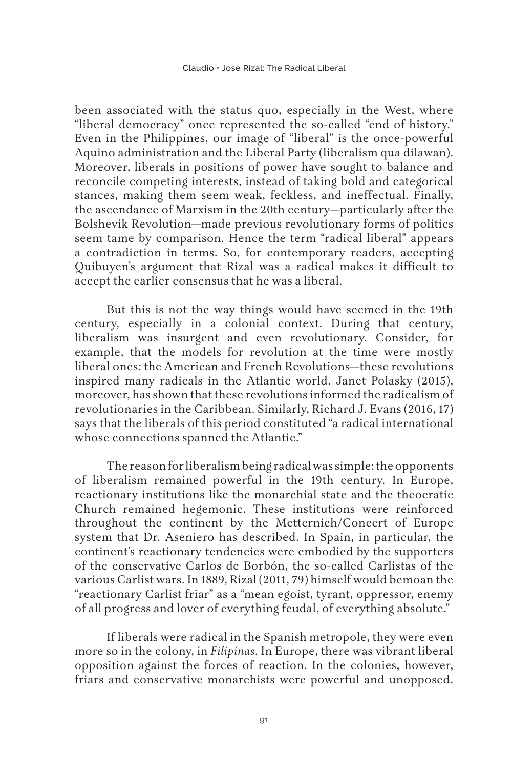been associated with the status quo, especially in the West, where "liberal democracy" once represented the so-called "end of history." Even in the Philippines, our image of "liberal" is the once-powerful Aquino administration and the Liberal Party (liberalism qua dilawan). Moreover, liberals in positions of power have sought to balance and reconcile competing interests, instead of taking bold and categorical stances, making them seem weak, feckless, and ineffectual. Finally, the ascendance of Marxism in the 20th century—particularly after the Bolshevik Revolution—made previous revolutionary forms of politics seem tame by comparison. Hence the term "radical liberal" appears a contradiction in terms. So, for contemporary readers, accepting Quibuyen's argument that Rizal was a radical makes it difficult to accept the earlier consensus that he was a liberal.

But this is not the way things would have seemed in the 19th century, especially in a colonial context. During that century, liberalism was insurgent and even revolutionary. Consider, for example, that the models for revolution at the time were mostly liberal ones: the American and French Revolutions—these revolutions inspired many radicals in the Atlantic world. Janet Polasky (2015), moreover, has shown that these revolutions informed the radicalism of revolutionaries in the Caribbean. Similarly, Richard J. Evans (2016, 17) says that the liberals of this period constituted "a radical international whose connections spanned the Atlantic."

The reason for liberalism being radical was simple: the opponents of liberalism remained powerful in the 19th century. In Europe, reactionary institutions like the monarchial state and the theocratic Church remained hegemonic. These institutions were reinforced throughout the continent by the Metternich/Concert of Europe system that Dr. Aseniero has described. In Spain, in particular, the continent's reactionary tendencies were embodied by the supporters of the conservative Carlos de Borbón, the so-called Carlistas of the various Carlist wars. In 1889, Rizal (2011, 79) himself would bemoan the "reactionary Carlist friar" as a "mean egoist, tyrant, oppressor, enemy of all progress and lover of everything feudal, of everything absolute."

If liberals were radical in the Spanish metropole, they were even more so in the colony, in *Filipinas*. In Europe, there was vibrant liberal opposition against the forces of reaction. In the colonies, however, friars and conservative monarchists were powerful and unopposed.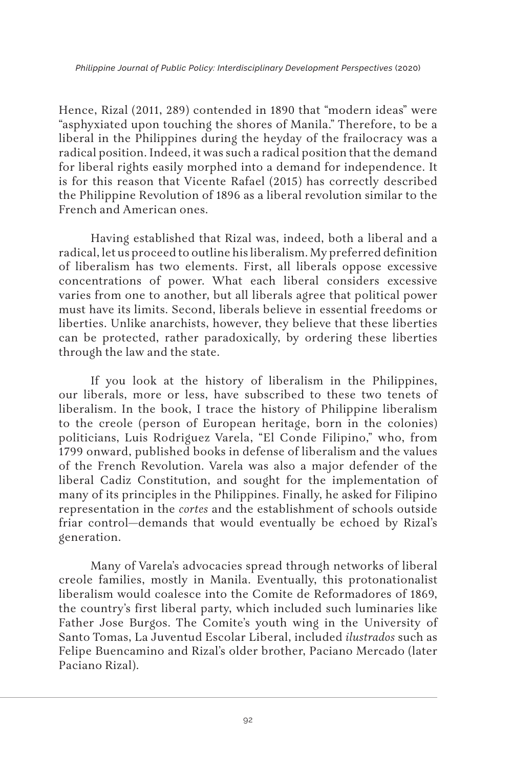Hence, Rizal (2011, 289) contended in 1890 that "modern ideas" were "asphyxiated upon touching the shores of Manila." Therefore, to be a liberal in the Philippines during the heyday of the frailocracy was a radical position. Indeed, it was such a radical position that the demand for liberal rights easily morphed into a demand for independence. It is for this reason that Vicente Rafael (2015) has correctly described the Philippine Revolution of 1896 as a liberal revolution similar to the French and American ones.

Having established that Rizal was, indeed, both a liberal and a radical, let us proceed to outline his liberalism. My preferred definition of liberalism has two elements. First, all liberals oppose excessive concentrations of power. What each liberal considers excessive varies from one to another, but all liberals agree that political power must have its limits. Second, liberals believe in essential freedoms or liberties. Unlike anarchists, however, they believe that these liberties can be protected, rather paradoxically, by ordering these liberties through the law and the state.

If you look at the history of liberalism in the Philippines, our liberals, more or less, have subscribed to these two tenets of liberalism. In the book, I trace the history of Philippine liberalism to the creole (person of European heritage, born in the colonies) politicians, Luis Rodriguez Varela, "El Conde Filipino," who, from 1799 onward, published books in defense of liberalism and the values of the French Revolution. Varela was also a major defender of the liberal Cadiz Constitution, and sought for the implementation of many of its principles in the Philippines. Finally, he asked for Filipino representation in the *cortes* and the establishment of schools outside friar control—demands that would eventually be echoed by Rizal's generation.

Many of Varela's advocacies spread through networks of liberal creole families, mostly in Manila. Eventually, this protonationalist liberalism would coalesce into the Comite de Reformadores of 1869, the country's first liberal party, which included such luminaries like Father Jose Burgos. The Comite's youth wing in the University of Santo Tomas, La Juventud Escolar Liberal, included *ilustrados* such as Felipe Buencamino and Rizal's older brother, Paciano Mercado (later Paciano Rizal).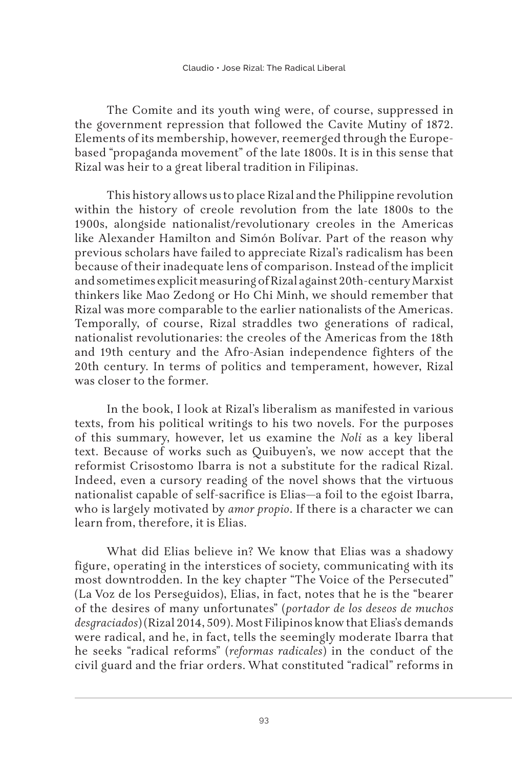The Comite and its youth wing were, of course, suppressed in the government repression that followed the Cavite Mutiny of 1872. Elements of its membership, however, reemerged through the Europebased "propaganda movement" of the late 1800s. It is in this sense that Rizal was heir to a great liberal tradition in Filipinas.

This history allows us to place Rizal and the Philippine revolution within the history of creole revolution from the late 1800s to the 1900s, alongside nationalist/revolutionary creoles in the Americas like Alexander Hamilton and Simón Bolívar. Part of the reason why previous scholars have failed to appreciate Rizal's radicalism has been because of their inadequate lens of comparison. Instead of the implicit and sometimes explicit measuring of Rizal against 20th-century Marxist thinkers like Mao Zedong or Ho Chi Minh, we should remember that Rizal was more comparable to the earlier nationalists of the Americas. Temporally, of course, Rizal straddles two generations of radical, nationalist revolutionaries: the creoles of the Americas from the 18th and 19th century and the Afro-Asian independence fighters of the 20th century. In terms of politics and temperament, however, Rizal was closer to the former.

In the book, I look at Rizal's liberalism as manifested in various texts, from his political writings to his two novels. For the purposes of this summary, however, let us examine the *Noli* as a key liberal text. Because of works such as Quibuyen's, we now accept that the reformist Crisostomo Ibarra is not a substitute for the radical Rizal. Indeed, even a cursory reading of the novel shows that the virtuous nationalist capable of self-sacrifice is Elias—a foil to the egoist Ibarra, who is largely motivated by *amor propio*. If there is a character we can learn from, therefore, it is Elias.

What did Elias believe in? We know that Elias was a shadowy figure, operating in the interstices of society, communicating with its most downtrodden. In the key chapter "The Voice of the Persecuted" (La Voz de los Perseguidos), Elias, in fact, notes that he is the "bearer of the desires of many unfortunates" (*portador de los deseos de muchos desgraciados*) (Rizal 2014, 509). Most Filipinos know that Elias's demands were radical, and he, in fact, tells the seemingly moderate Ibarra that he seeks "radical reforms" (*reformas radicales*) in the conduct of the civil guard and the friar orders. What constituted "radical" reforms in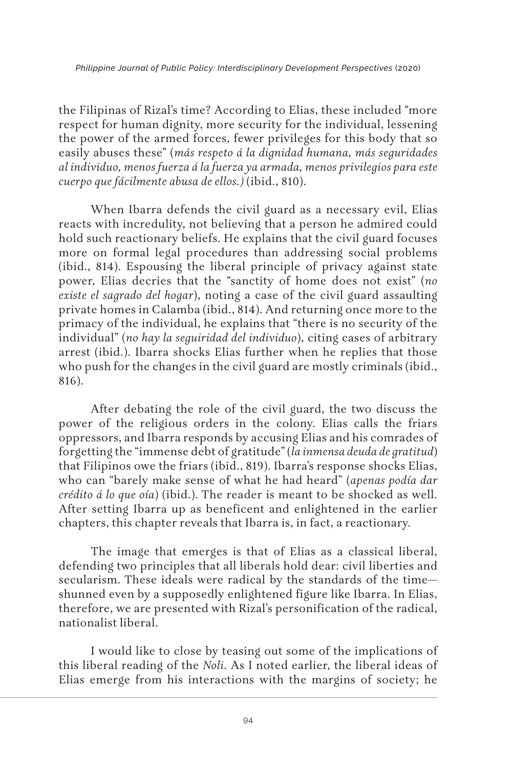the Filipinas of Rizal's time? According to Elias, these included "more respect for human dignity, more security for the individual, lessening the power of the armed forces, fewer privileges for this body that so easily abuses these" (*más respeto á la dignidad humana, más seguridades al individuo, menos fuerza á la fuerza ya armada, menos privilegios para este cuerpo que fácilmente abusa de ellos.)* (ibid., 810).

When Ibarra defends the civil guard as a necessary evil, Elias reacts with incredulity, not believing that a person he admired could hold such reactionary beliefs. He explains that the civil guard focuses more on formal legal procedures than addressing social problems (ibid., 814). Espousing the liberal principle of privacy against state power, Elias decries that the "sanctity of home does not exist" (*no existe el sagrado del hogar*), noting a case of the civil guard assaulting private homes in Calamba (ibid., 814). And returning once more to the primacy of the individual, he explains that "there is no security of the individual" (*no hay la seguiridad del individuo*), citing cases of arbitrary arrest (ibid.). Ibarra shocks Elias further when he replies that those who push for the changes in the civil guard are mostly criminals (ibid., 816).

After debating the role of the civil guard, the two discuss the power of the religious orders in the colony. Elias calls the friars oppressors, and Ibarra responds by accusing Elias and his comrades of forgetting the "immense debt of gratitude" (*la inmensa deuda de gratitud*) that Filipinos owe the friars (ibid., 819). Ibarra's response shocks Elias, who can "barely make sense of what he had heard" (*apenas podía dar crédito á lo que oía*) (ibid.). The reader is meant to be shocked as well. After setting Ibarra up as beneficent and enlightened in the earlier chapters, this chapter reveals that Ibarra is, in fact, a reactionary.

The image that emerges is that of Elias as a classical liberal, defending two principles that all liberals hold dear: civil liberties and secularism. These ideals were radical by the standards of the time shunned even by a supposedly enlightened figure like Ibarra. In Elias, therefore, we are presented with Rizal's personification of the radical, nationalist liberal.

I would like to close by teasing out some of the implications of this liberal reading of the *Noli*. As I noted earlier, the liberal ideas of Elias emerge from his interactions with the margins of society; he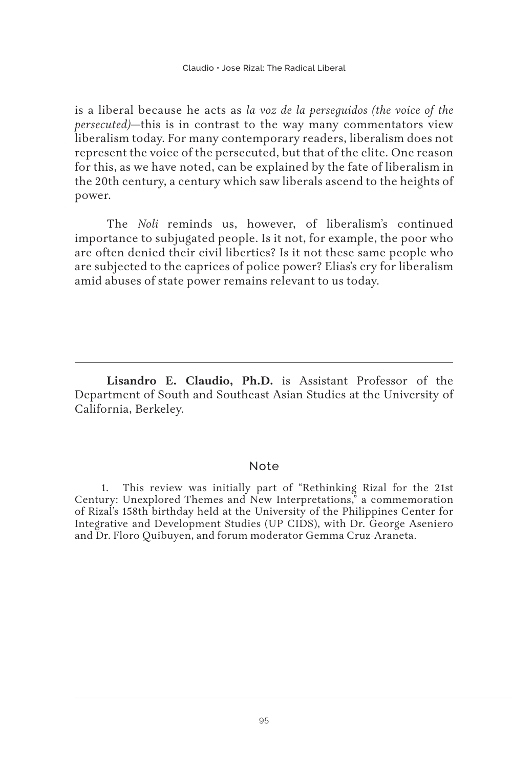is a liberal because he acts as *la voz de la perseguidos (the voice of the persecuted)*—this is in contrast to the way many commentators view liberalism today. For many contemporary readers, liberalism does not represent the voice of the persecuted, but that of the elite. One reason for this, as we have noted, can be explained by the fate of liberalism in the 20th century, a century which saw liberals ascend to the heights of power.

The *Noli* reminds us, however, of liberalism's continued importance to subjugated people. Is it not, for example, the poor who are often denied their civil liberties? Is it not these same people who are subjected to the caprices of police power? Elias's cry for liberalism amid abuses of state power remains relevant to us today.

**Lisandro E. Claudio, Ph.D.** is Assistant Professor of the Department of South and Southeast Asian Studies at the University of California, Berkeley.

## Note

1. This review was initially part of "Rethinking Rizal for the 21st Century: Unexplored Themes and New Interpretations," a commemoration of Rizal's 158th birthday held at the University of the Philippines Center for Integrative and Development Studies (UP CIDS), with Dr. George Aseniero and Dr. Floro Quibuyen, and forum moderator Gemma Cruz-Araneta.